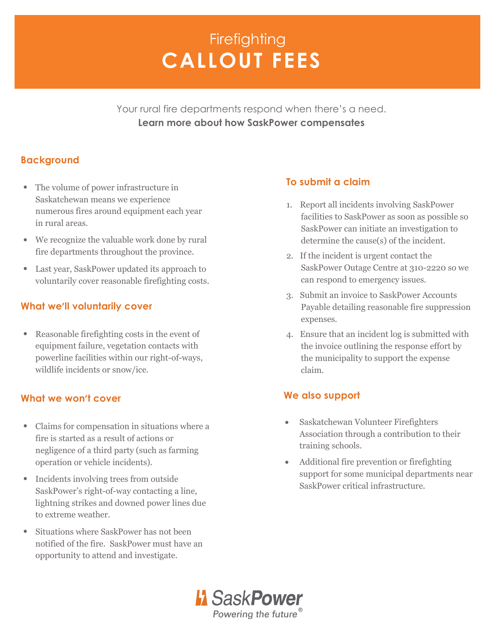# **CALLOUT FEES Firefighting**

Your rural fire departments respond when there's a need. **Learn more about how SaskPower compensates**

### **Background**

- The volume of power infrastructure in Saskatchewan means we experience numerous fires around equipment each year in rural areas.
- We recognize the valuable work done by rural fire departments throughout the province.
- Last year, SaskPower updated its approach to voluntarily cover reasonable firefighting costs.

#### **What we'll voluntarily cover**

• Reasonable firefighting costs in the event of equipment failure, vegetation contacts with powerline facilities within our right-of-ways, wildlife incidents or snow/ice.

#### **What we won't cover**

- Claims for compensation in situations where a fire is started as a result of actions or negligence of a third party (such as farming operation or vehicle incidents).
- Incidents involving trees from outside SaskPower's right-of-way contacting a line, lightning strikes and downed power lines due to extreme weather.
- Situations where SaskPower has not been notified of the fire. SaskPower must have an opportunity to attend and investigate.

## **To submit a claim**

- 1. Report all incidents involving SaskPower facilities to SaskPower as soon as possible so SaskPower can initiate an investigation to determine the cause(s) of the incident.
- 2. If the incident is urgent contact the SaskPower Outage Centre at 310-2220 so we can respond to emergency issues.
- 3. Submit an invoice to SaskPower Accounts Payable detailing reasonable fire suppression expenses.
- 4. Ensure that an incident log is submitted with the invoice outlining the response effort by the municipality to support the expense claim.

#### **We also support**

- Saskatchewan Volunteer Firefighters Association through a contribution to their training schools.
- Additional fire prevention or firefighting support for some municipal departments near SaskPower critical infrastructure.